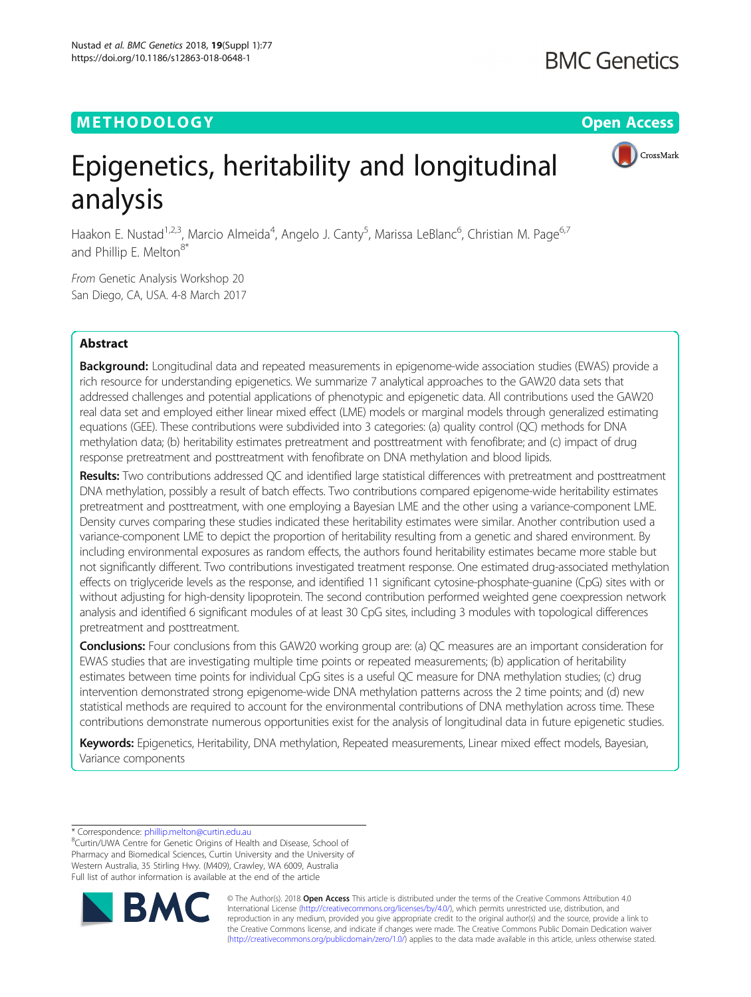## METHODOLOGY CONTROL CONTROL CONTROL CONTROL CONTROL CONTROL CONTROL CONTROL CONTROL CONTROL CONTROL CONTROL CO



# Epigenetics, heritability and longitudinal analysis

Haakon E. Nustad<sup>1,2,3</sup>, Marcio Almeida<sup>4</sup>, Angelo J. Canty<sup>5</sup>, Marissa LeBlanc<sup>6</sup>, Christian M. Page<sup>6,7</sup> and Phillip E. Melton<sup>8\*</sup>

From Genetic Analysis Workshop 20 San Diego, CA, USA. 4-8 March 2017

### Abstract

Background: Longitudinal data and repeated measurements in epigenome-wide association studies (EWAS) provide a rich resource for understanding epigenetics. We summarize 7 analytical approaches to the GAW20 data sets that addressed challenges and potential applications of phenotypic and epigenetic data. All contributions used the GAW20 real data set and employed either linear mixed effect (LME) models or marginal models through generalized estimating equations (GEE). These contributions were subdivided into 3 categories: (a) quality control (QC) methods for DNA methylation data; (b) heritability estimates pretreatment and posttreatment with fenofibrate; and (c) impact of drug response pretreatment and posttreatment with fenofibrate on DNA methylation and blood lipids.

Results: Two contributions addressed QC and identified large statistical differences with pretreatment and posttreatment DNA methylation, possibly a result of batch effects. Two contributions compared epigenome-wide heritability estimates pretreatment and posttreatment, with one employing a Bayesian LME and the other using a variance-component LME. Density curves comparing these studies indicated these heritability estimates were similar. Another contribution used a variance-component LME to depict the proportion of heritability resulting from a genetic and shared environment. By including environmental exposures as random effects, the authors found heritability estimates became more stable but not significantly different. Two contributions investigated treatment response. One estimated drug-associated methylation effects on triglyceride levels as the response, and identified 11 significant cytosine-phosphate-guanine (CpG) sites with or without adjusting for high-density lipoprotein. The second contribution performed weighted gene coexpression network analysis and identified 6 significant modules of at least 30 CpG sites, including 3 modules with topological differences pretreatment and posttreatment.

Conclusions: Four conclusions from this GAW20 working group are: (a) QC measures are an important consideration for EWAS studies that are investigating multiple time points or repeated measurements; (b) application of heritability estimates between time points for individual CpG sites is a useful QC measure for DNA methylation studies; (c) drug intervention demonstrated strong epigenome-wide DNA methylation patterns across the 2 time points; and (d) new statistical methods are required to account for the environmental contributions of DNA methylation across time. These contributions demonstrate numerous opportunities exist for the analysis of longitudinal data in future epigenetic studies.

Keywords: Epigenetics, Heritability, DNA methylation, Repeated measurements, Linear mixed effect models, Bayesian, Variance components

\* Correspondence: [phillip.melton@curtin.edu.au](mailto:phillip.melton@curtin.edu.au) <sup>8</sup>

<sup>&</sup>lt;sup>8</sup>Curtin/UWA Centre for Genetic Origins of Health and Disease, School of Pharmacy and Biomedical Sciences, Curtin University and the University of Western Australia, 35 Stirling Hwy. (M409), Crawley, WA 6009, Australia Full list of author information is available at the end of the article



© The Author(s). 2018 Open Access This article is distributed under the terms of the Creative Commons Attribution 4.0 International License [\(http://creativecommons.org/licenses/by/4.0/](http://creativecommons.org/licenses/by/4.0/)), which permits unrestricted use, distribution, and reproduction in any medium, provided you give appropriate credit to the original author(s) and the source, provide a link to the Creative Commons license, and indicate if changes were made. The Creative Commons Public Domain Dedication waiver [\(http://creativecommons.org/publicdomain/zero/1.0/](http://creativecommons.org/publicdomain/zero/1.0/)) applies to the data made available in this article, unless otherwise stated.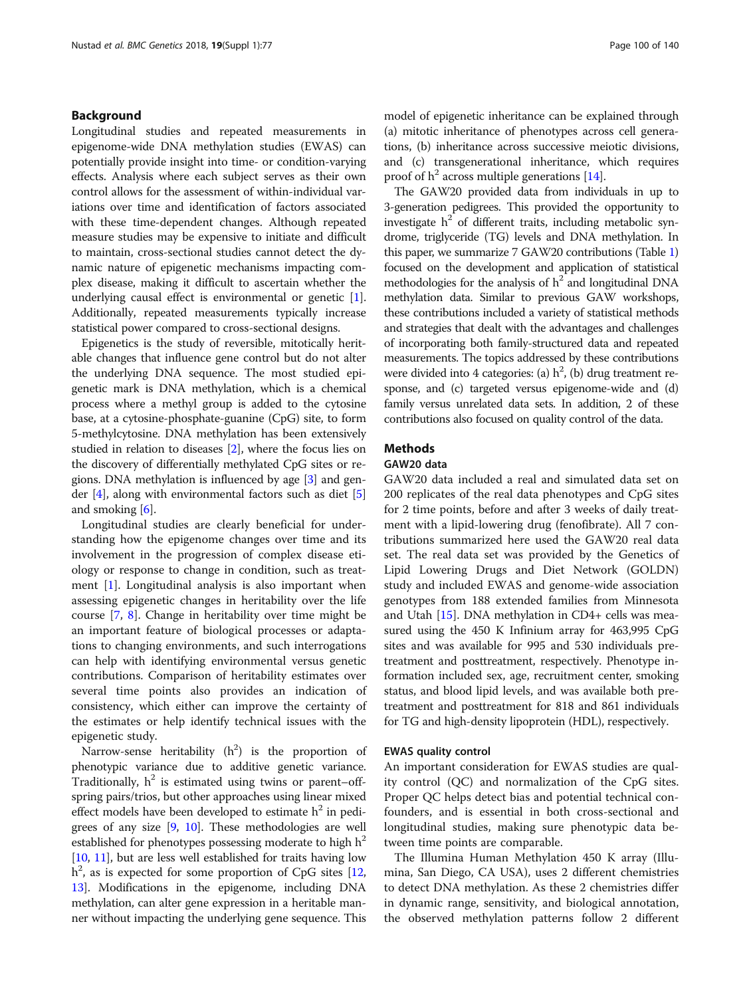### Background

Longitudinal studies and repeated measurements in epigenome-wide DNA methylation studies (EWAS) can potentially provide insight into time- or condition-varying effects. Analysis where each subject serves as their own control allows for the assessment of within-individual variations over time and identification of factors associated with these time-dependent changes. Although repeated measure studies may be expensive to initiate and difficult to maintain, cross-sectional studies cannot detect the dynamic nature of epigenetic mechanisms impacting complex disease, making it difficult to ascertain whether the underlying causal effect is environmental or genetic [[1](#page-8-0)]. Additionally, repeated measurements typically increase statistical power compared to cross-sectional designs.

Epigenetics is the study of reversible, mitotically heritable changes that influence gene control but do not alter the underlying DNA sequence. The most studied epigenetic mark is DNA methylation, which is a chemical process where a methyl group is added to the cytosine base, at a cytosine-phosphate-guanine (CpG) site, to form 5-methylcytosine. DNA methylation has been extensively studied in relation to diseases [\[2\]](#page-8-0), where the focus lies on the discovery of differentially methylated CpG sites or regions. DNA methylation is influenced by age [[3\]](#page-8-0) and gender [\[4](#page-8-0)], along with environmental factors such as diet [[5](#page-8-0)] and smoking  $[6]$  $[6]$ .

Longitudinal studies are clearly beneficial for understanding how the epigenome changes over time and its involvement in the progression of complex disease etiology or response to change in condition, such as treatment [\[1](#page-8-0)]. Longitudinal analysis is also important when assessing epigenetic changes in heritability over the life course [\[7](#page-8-0), [8](#page-8-0)]. Change in heritability over time might be an important feature of biological processes or adaptations to changing environments, and such interrogations can help with identifying environmental versus genetic contributions. Comparison of heritability estimates over several time points also provides an indication of consistency, which either can improve the certainty of the estimates or help identify technical issues with the epigenetic study.

Narrow-sense heritability  $(h^2)$  is the proportion of phenotypic variance due to additive genetic variance. Traditionally,  $h^2$  is estimated using twins or parent–offspring pairs/trios, but other approaches using linear mixed effect models have been developed to estimate  $h^2$  in pedigrees of any size  $[9, 10]$  $[9, 10]$  $[9, 10]$  $[9, 10]$ . These methodologies are well established for phenotypes possessing moderate to high  $h^2$ [[10](#page-8-0), [11](#page-8-0)], but are less well established for traits having low  $h^2$ , as is expected for some proportion of CpG sites [[12](#page-8-0), [13](#page-8-0)]. Modifications in the epigenome, including DNA methylation, can alter gene expression in a heritable manner without impacting the underlying gene sequence. This model of epigenetic inheritance can be explained through (a) mitotic inheritance of phenotypes across cell generations, (b) inheritance across successive meiotic divisions, and (c) transgenerational inheritance, which requires proof of  $h^2$  across multiple generations [[14\]](#page-8-0).

The GAW20 provided data from individuals in up to 3-generation pedigrees. This provided the opportunity to investigate  $h^2$  of different traits, including metabolic syndrome, triglyceride (TG) levels and DNA methylation. In this paper, we summarize 7 GAW20 contributions (Table [1](#page-2-0)) focused on the development and application of statistical methodologies for the analysis of  $h^2$  and longitudinal DNA methylation data. Similar to previous GAW workshops, these contributions included a variety of statistical methods and strategies that dealt with the advantages and challenges of incorporating both family-structured data and repeated measurements. The topics addressed by these contributions were divided into 4 categories: (a)  $h^2$ , (b) drug treatment response, and (c) targeted versus epigenome-wide and (d) family versus unrelated data sets. In addition, 2 of these contributions also focused on quality control of the data.

### Methods

### GAW20 data

GAW20 data included a real and simulated data set on 200 replicates of the real data phenotypes and CpG sites for 2 time points, before and after 3 weeks of daily treatment with a lipid-lowering drug (fenofibrate). All 7 contributions summarized here used the GAW20 real data set. The real data set was provided by the Genetics of Lipid Lowering Drugs and Diet Network (GOLDN) study and included EWAS and genome-wide association genotypes from 188 extended families from Minnesota and Utah [\[15](#page-8-0)]. DNA methylation in CD4+ cells was measured using the 450 K Infinium array for 463,995 CpG sites and was available for 995 and 530 individuals pretreatment and posttreatment, respectively. Phenotype information included sex, age, recruitment center, smoking status, and blood lipid levels, and was available both pretreatment and posttreatment for 818 and 861 individuals for TG and high-density lipoprotein (HDL), respectively.

### EWAS quality control

An important consideration for EWAS studies are quality control (QC) and normalization of the CpG sites. Proper QC helps detect bias and potential technical confounders, and is essential in both cross-sectional and longitudinal studies, making sure phenotypic data between time points are comparable.

The Illumina Human Methylation 450 K array (Illumina, San Diego, CA USA), uses 2 different chemistries to detect DNA methylation. As these 2 chemistries differ in dynamic range, sensitivity, and biological annotation, the observed methylation patterns follow 2 different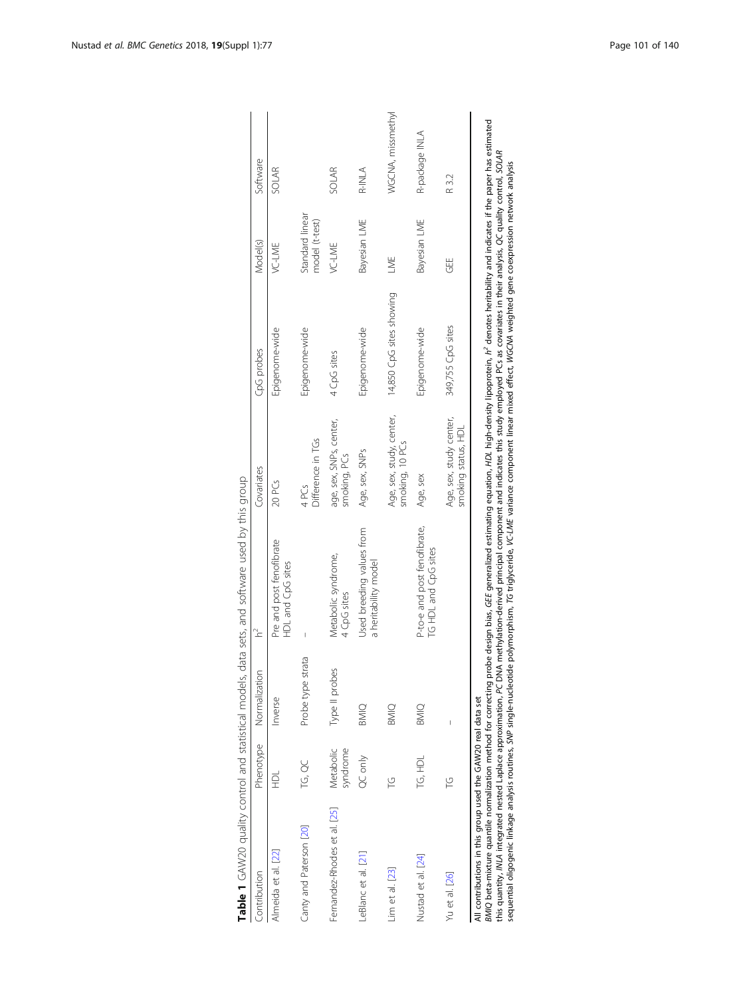|                                                                                                                                   |                       |                   | Table 1 GAW20 quality control and statistical models, data sets, and software used by this group                                                                                                                                                                                                                                                                                                                                                                                                                                                                               |                                                |                          |                                   |                   |
|-----------------------------------------------------------------------------------------------------------------------------------|-----------------------|-------------------|--------------------------------------------------------------------------------------------------------------------------------------------------------------------------------------------------------------------------------------------------------------------------------------------------------------------------------------------------------------------------------------------------------------------------------------------------------------------------------------------------------------------------------------------------------------------------------|------------------------------------------------|--------------------------|-----------------------------------|-------------------|
| Contribution                                                                                                                      | Phenotype             | Normalization     | $\approx$                                                                                                                                                                                                                                                                                                                                                                                                                                                                                                                                                                      | Covariates                                     | CpG probes               | Model(s)                          | Software          |
| Almeida et al. [22]                                                                                                               | 로                     | Inverse           | Pre and post fenofibrate<br>HDL and CpG sites                                                                                                                                                                                                                                                                                                                                                                                                                                                                                                                                  | 20 PCs                                         | Epigenome-wide           | VC-LME                            | <b>SOLAR</b>      |
| Canty and Paterson [20]                                                                                                           | TG QC                 | Probe type strata |                                                                                                                                                                                                                                                                                                                                                                                                                                                                                                                                                                                | Difference in TGs<br>4PCs                      | Epigenome-wide           | Standard linear<br>model (t-test) |                   |
| Fernandez-Rhodes et al. [25]                                                                                                      | Metabolic<br>syndrome | Type II probes    | Metabolic syndrome,<br>4 CpG sites                                                                                                                                                                                                                                                                                                                                                                                                                                                                                                                                             | age, sex, SNPs, center,<br>smoking, PCs        | 4 CpG sites              | VC-LME                            | <b>SOLAR</b>      |
| LeBlanc et al. [21]                                                                                                               | QC only               | <b>BMIQ</b>       | Used breeding values from<br>a heritability model                                                                                                                                                                                                                                                                                                                                                                                                                                                                                                                              | Age, sex, SNPs                                 | Epigenome-wide           | Bayesian LME                      | R-INLA            |
| Lim et al. [23]                                                                                                                   | Ľ                     | BMIQ              |                                                                                                                                                                                                                                                                                                                                                                                                                                                                                                                                                                                | Age, sex, study, center,<br>smoking, 10 PCs    | 14,850 CpG sites showing | LME                               | WGCNA, missmethyl |
| Nustad et al. [24]                                                                                                                | TG, HDL               | <b>BMIQ</b>       | P-to-e and post fenofibrate,<br>TG HDL and CpG sites                                                                                                                                                                                                                                                                                                                                                                                                                                                                                                                           | Age, sex                                       | Epigenome-wide           | Bayesian LME                      | R-package INLA    |
| Yu et al. [26]                                                                                                                    | Ľ                     |                   |                                                                                                                                                                                                                                                                                                                                                                                                                                                                                                                                                                                | Age, sex, study center,<br>smoking status, HDL | 349,755 CpG sites        | 出<br>UJ                           | R 3.2             |
| this quantity, MLA integrated nested Laplace approximation, PC DI<br>All contributions in this group used the GAW20 real data set |                       |                   | BMIQ beta-mixture quantile normalization method for correcting probe design bias, GEE generalized estimating equation, HDL high-density lipoprotein, h' denotes heritability and indicates if the paper has estimated<br>NA methylation-derived principal component and indicates this study employed PCs as covariates in their analysis, QC quality control, SOLAR<br>sequential oligogenic linkage analysis routines, SMP single-nucleotide polymorphism, TG triglyceride, VC-LME variance component linear mixed effect, WGGMA weighted gene coexpression network analysis |                                                |                          |                                   |                   |

| $\frac{5}{2}$                                                                                                  |   |
|----------------------------------------------------------------------------------------------------------------|---|
|                                                                                                                | Ì |
| )<br>-<br>-                                                                                                    |   |
|                                                                                                                |   |
|                                                                                                                |   |
|                                                                                                                |   |
|                                                                                                                |   |
|                                                                                                                |   |
|                                                                                                                |   |
|                                                                                                                |   |
|                                                                                                                |   |
| コーヘン フリコフ リラン                                                                                                  |   |
|                                                                                                                |   |
|                                                                                                                |   |
|                                                                                                                |   |
|                                                                                                                |   |
|                                                                                                                |   |
|                                                                                                                |   |
|                                                                                                                |   |
|                                                                                                                |   |
|                                                                                                                |   |
|                                                                                                                |   |
|                                                                                                                |   |
|                                                                                                                |   |
|                                                                                                                |   |
| הכל המוני המוני להתקופה המוני המוני המוני המוני המוני המוני המוני המוני המוני המוני המוני המוני המוני המוני המ |   |
|                                                                                                                |   |
|                                                                                                                |   |
|                                                                                                                |   |
|                                                                                                                |   |
|                                                                                                                |   |
|                                                                                                                |   |
|                                                                                                                |   |
|                                                                                                                |   |
| 5<br>2<br>-<br>-                                                                                               |   |
|                                                                                                                |   |
| 5) 1                                                                                                           |   |
|                                                                                                                |   |
|                                                                                                                |   |
|                                                                                                                |   |
|                                                                                                                |   |
| <br> <br> <br>                                                                                                 |   |
|                                                                                                                |   |
|                                                                                                                |   |
|                                                                                                                |   |
|                                                                                                                |   |
|                                                                                                                |   |
|                                                                                                                |   |
|                                                                                                                |   |
|                                                                                                                |   |
|                                                                                                                |   |
|                                                                                                                |   |
|                                                                                                                |   |
|                                                                                                                |   |
|                                                                                                                |   |
|                                                                                                                |   |
|                                                                                                                |   |
|                                                                                                                |   |
|                                                                                                                |   |
|                                                                                                                |   |
| こうこうし こうこうし シュニュー                                                                                              |   |
|                                                                                                                |   |
| Table i                                                                                                        |   |
|                                                                                                                |   |
|                                                                                                                |   |
|                                                                                                                |   |
|                                                                                                                |   |
|                                                                                                                |   |

<span id="page-2-0"></span>Nustad et al. BMC Genetics 2018, 19(Suppl 1):77 Page 101 of 140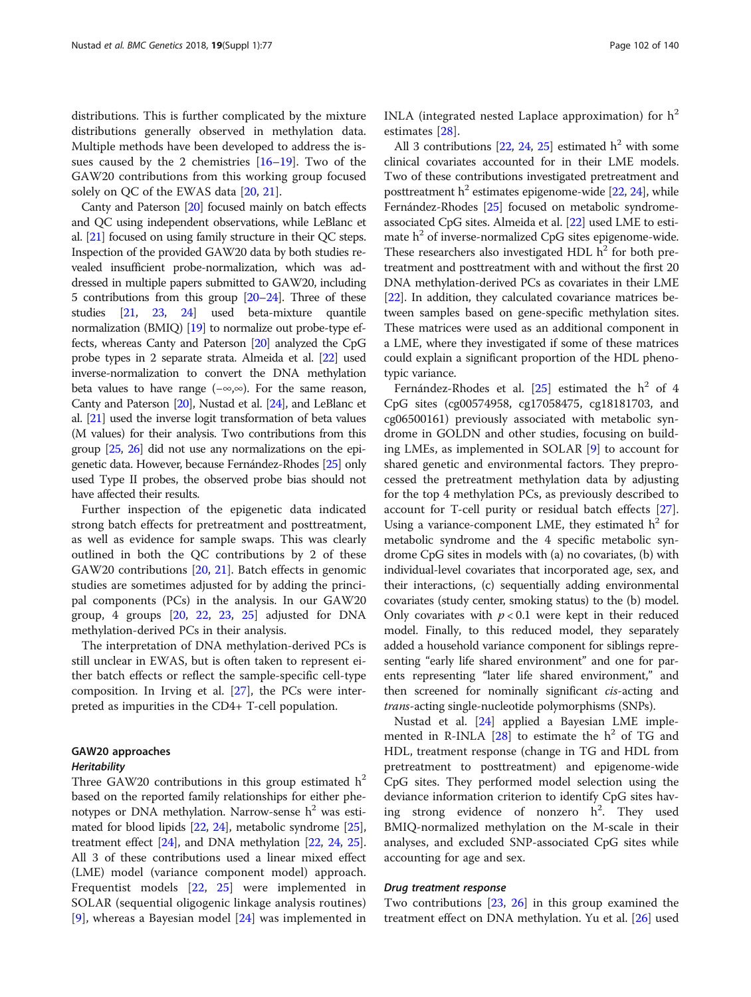distributions. This is further complicated by the mixture distributions generally observed in methylation data. Multiple methods have been developed to address the issues caused by the 2 chemistries [\[16](#page-9-0)–[19\]](#page-9-0). Two of the GAW20 contributions from this working group focused solely on QC of the EWAS data [[20](#page-9-0), [21](#page-9-0)].

Canty and Paterson [\[20](#page-9-0)] focused mainly on batch effects and QC using independent observations, while LeBlanc et al. [\[21\]](#page-9-0) focused on using family structure in their QC steps. Inspection of the provided GAW20 data by both studies revealed insufficient probe-normalization, which was addressed in multiple papers submitted to GAW20, including 5 contributions from this group  $[20-24]$  $[20-24]$  $[20-24]$ . Three of these studies [\[21](#page-9-0), [23](#page-9-0), [24](#page-9-0)] used beta-mixture quantile normalization (BMIQ) [\[19](#page-9-0)] to normalize out probe-type effects, whereas Canty and Paterson [\[20](#page-9-0)] analyzed the CpG probe types in 2 separate strata. Almeida et al. [\[22](#page-9-0)] used inverse-normalization to convert the DNA methylation beta values to have range (−∞,∞). For the same reason, Canty and Paterson [\[20\]](#page-9-0), Nustad et al. [\[24](#page-9-0)], and LeBlanc et al. [\[21\]](#page-9-0) used the inverse logit transformation of beta values (M values) for their analysis. Two contributions from this group [\[25,](#page-9-0) [26\]](#page-9-0) did not use any normalizations on the epigenetic data. However, because Fernández-Rhodes [[25](#page-9-0)] only used Type II probes, the observed probe bias should not have affected their results.

Further inspection of the epigenetic data indicated strong batch effects for pretreatment and posttreatment, as well as evidence for sample swaps. This was clearly outlined in both the QC contributions by 2 of these GAW20 contributions [\[20,](#page-9-0) [21](#page-9-0)]. Batch effects in genomic studies are sometimes adjusted for by adding the principal components (PCs) in the analysis. In our GAW20 group, 4 groups [\[20](#page-9-0), [22](#page-9-0), [23](#page-9-0), [25\]](#page-9-0) adjusted for DNA methylation-derived PCs in their analysis.

The interpretation of DNA methylation-derived PCs is still unclear in EWAS, but is often taken to represent either batch effects or reflect the sample-specific cell-type composition. In Irving et al. [[27\]](#page-9-0), the PCs were interpreted as impurities in the CD4+ T-cell population.

### GAW20 approaches **Heritability**

Three GAW20 contributions in this group estimated  $h^2$ based on the reported family relationships for either phenotypes or DNA methylation. Narrow-sense  $h^2$  was estimated for blood lipids [[22](#page-9-0), [24\]](#page-9-0), metabolic syndrome [[25](#page-9-0)], treatment effect [\[24\]](#page-9-0), and DNA methylation [[22](#page-9-0), [24,](#page-9-0) [25](#page-9-0)]. All 3 of these contributions used a linear mixed effect (LME) model (variance component model) approach. Frequentist models [\[22](#page-9-0), [25](#page-9-0)] were implemented in SOLAR (sequential oligogenic linkage analysis routines) [[9\]](#page-8-0), whereas a Bayesian model [[24\]](#page-9-0) was implemented in

INLA (integrated nested Laplace approximation) for  $h^2$ estimates [[28\]](#page-9-0).

All 3 contributions  $[22, 24, 25]$  $[22, 24, 25]$  $[22, 24, 25]$  $[22, 24, 25]$  $[22, 24, 25]$  estimated  $h<sup>2</sup>$  with some clinical covariates accounted for in their LME models. Two of these contributions investigated pretreatment and posttreatment  $h^2$  estimates epigenome-wide [[22](#page-9-0), [24\]](#page-9-0), while Fernández-Rhodes [\[25\]](#page-9-0) focused on metabolic syndromeassociated CpG sites. Almeida et al. [[22\]](#page-9-0) used LME to estimate  $h^2$  of inverse-normalized CpG sites epigenome-wide. These researchers also investigated HDL  $h^2$  for both pretreatment and posttreatment with and without the first 20 DNA methylation-derived PCs as covariates in their LME [[22](#page-9-0)]. In addition, they calculated covariance matrices between samples based on gene-specific methylation sites. These matrices were used as an additional component in a LME, where they investigated if some of these matrices could explain a significant proportion of the HDL phenotypic variance.

Fernández-Rhodes et al. [[25](#page-9-0)] estimated the  $h^2$  of 4 CpG sites (cg00574958, cg17058475, cg18181703, and cg06500161) previously associated with metabolic syndrome in GOLDN and other studies, focusing on building LMEs, as implemented in SOLAR [\[9](#page-8-0)] to account for shared genetic and environmental factors. They preprocessed the pretreatment methylation data by adjusting for the top 4 methylation PCs, as previously described to account for T-cell purity or residual batch effects [\[27](#page-9-0)]. Using a variance-component LME, they estimated  $h^2$  for metabolic syndrome and the 4 specific metabolic syndrome CpG sites in models with (a) no covariates, (b) with individual-level covariates that incorporated age, sex, and their interactions, (c) sequentially adding environmental covariates (study center, smoking status) to the (b) model. Only covariates with  $p < 0.1$  were kept in their reduced model. Finally, to this reduced model, they separately added a household variance component for siblings representing "early life shared environment" and one for parents representing "later life shared environment," and then screened for nominally significant cis-acting and trans-acting single-nucleotide polymorphisms (SNPs).

Nustad et al. [[24\]](#page-9-0) applied a Bayesian LME implemented in R-INLA  $[28]$  to estimate the  $h^2$  of TG and HDL, treatment response (change in TG and HDL from pretreatment to posttreatment) and epigenome-wide CpG sites. They performed model selection using the deviance information criterion to identify CpG sites having strong evidence of nonzero  $h^2$ . They used BMIQ-normalized methylation on the M-scale in their analyses, and excluded SNP-associated CpG sites while accounting for age and sex.

### Drug treatment response

Two contributions [[23](#page-9-0), [26\]](#page-9-0) in this group examined the treatment effect on DNA methylation. Yu et al. [\[26\]](#page-9-0) used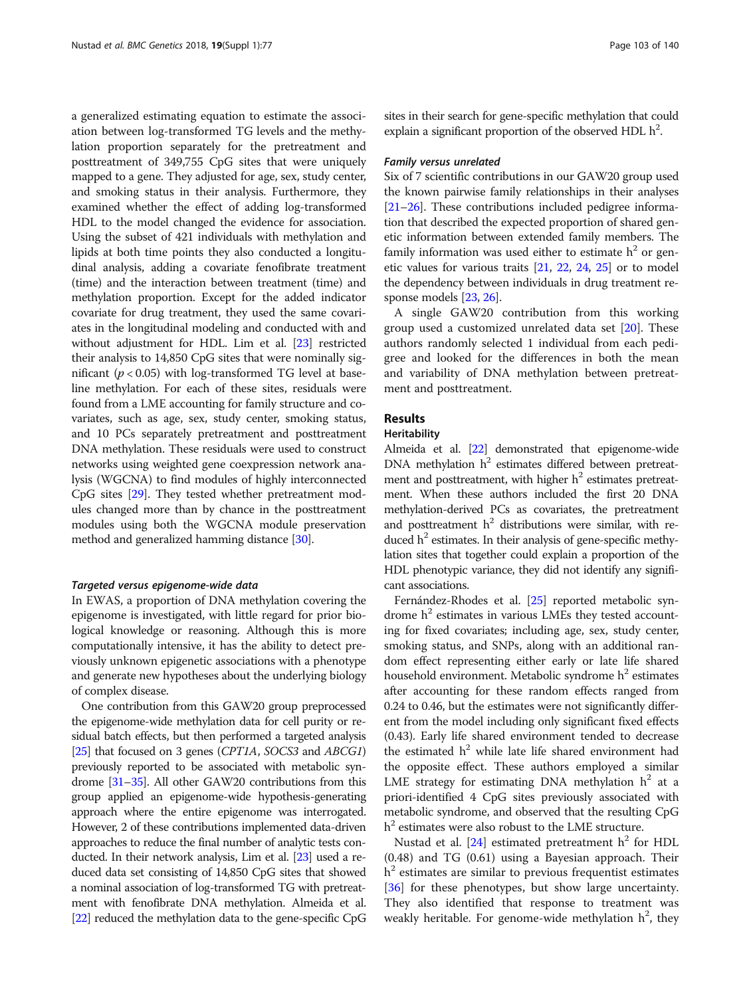a generalized estimating equation to estimate the association between log-transformed TG levels and the methylation proportion separately for the pretreatment and posttreatment of 349,755 CpG sites that were uniquely mapped to a gene. They adjusted for age, sex, study center, and smoking status in their analysis. Furthermore, they examined whether the effect of adding log-transformed HDL to the model changed the evidence for association. Using the subset of 421 individuals with methylation and lipids at both time points they also conducted a longitudinal analysis, adding a covariate fenofibrate treatment (time) and the interaction between treatment (time) and methylation proportion. Except for the added indicator covariate for drug treatment, they used the same covariates in the longitudinal modeling and conducted with and without adjustment for HDL. Lim et al. [\[23\]](#page-9-0) restricted their analysis to 14,850 CpG sites that were nominally significant ( $p < 0.05$ ) with log-transformed TG level at baseline methylation. For each of these sites, residuals were found from a LME accounting for family structure and covariates, such as age, sex, study center, smoking status, and 10 PCs separately pretreatment and posttreatment DNA methylation. These residuals were used to construct networks using weighted gene coexpression network analysis (WGCNA) to find modules of highly interconnected CpG sites [\[29\]](#page-9-0). They tested whether pretreatment modules changed more than by chance in the posttreatment modules using both the WGCNA module preservation method and generalized hamming distance [\[30\]](#page-9-0).

### Targeted versus epigenome-wide data

In EWAS, a proportion of DNA methylation covering the epigenome is investigated, with little regard for prior biological knowledge or reasoning. Although this is more computationally intensive, it has the ability to detect previously unknown epigenetic associations with a phenotype and generate new hypotheses about the underlying biology of complex disease.

One contribution from this GAW20 group preprocessed the epigenome-wide methylation data for cell purity or residual batch effects, but then performed a targeted analysis [[25](#page-9-0)] that focused on 3 genes (CPT1A, SOCS3 and ABCG1) previously reported to be associated with metabolic syndrome [\[31](#page-9-0)–[35](#page-9-0)]. All other GAW20 contributions from this group applied an epigenome-wide hypothesis-generating approach where the entire epigenome was interrogated. However, 2 of these contributions implemented data-driven approaches to reduce the final number of analytic tests conducted. In their network analysis, Lim et al. [\[23\]](#page-9-0) used a reduced data set consisting of 14,850 CpG sites that showed a nominal association of log-transformed TG with pretreatment with fenofibrate DNA methylation. Almeida et al. [[22](#page-9-0)] reduced the methylation data to the gene-specific CpG sites in their search for gene-specific methylation that could explain a significant proportion of the observed HDL  $h^2$ .

#### Family versus unrelated

Six of 7 scientific contributions in our GAW20 group used the known pairwise family relationships in their analyses [[21](#page-9-0)–[26\]](#page-9-0). These contributions included pedigree information that described the expected proportion of shared genetic information between extended family members. The family information was used either to estimate  $h^2$  or genetic values for various traits [\[21,](#page-9-0) [22](#page-9-0), [24,](#page-9-0) [25](#page-9-0)] or to model the dependency between individuals in drug treatment response models [\[23,](#page-9-0) [26\]](#page-9-0).

A single GAW20 contribution from this working group used a customized unrelated data set [\[20](#page-9-0)]. These authors randomly selected 1 individual from each pedigree and looked for the differences in both the mean and variability of DNA methylation between pretreatment and posttreatment.

### Results

### Heritability

Almeida et al. [\[22\]](#page-9-0) demonstrated that epigenome-wide DNA methylation  $h^2$  estimates differed between pretreatment and posttreatment, with higher  $h<sup>2</sup>$  estimates pretreatment. When these authors included the first 20 DNA methylation-derived PCs as covariates, the pretreatment and posttreatment  $h^2$  distributions were similar, with reduced  $h<sup>2</sup>$  estimates. In their analysis of gene-specific methylation sites that together could explain a proportion of the HDL phenotypic variance, they did not identify any significant associations.

Fernández-Rhodes et al. [\[25\]](#page-9-0) reported metabolic syndrome  $h<sup>2</sup>$  estimates in various LMEs they tested accounting for fixed covariates; including age, sex, study center, smoking status, and SNPs, along with an additional random effect representing either early or late life shared household environment. Metabolic syndrome  $h<sup>2</sup>$  estimates after accounting for these random effects ranged from 0.24 to 0.46, but the estimates were not significantly different from the model including only significant fixed effects (0.43). Early life shared environment tended to decrease the estimated  $h^2$  while late life shared environment had the opposite effect. These authors employed a similar LME strategy for estimating DNA methylation  $h^2$  at a priori-identified 4 CpG sites previously associated with metabolic syndrome, and observed that the resulting CpG  $h<sup>2</sup>$  estimates were also robust to the LME structure.

Nustad et al. [\[24](#page-9-0)] estimated pretreatment  $h^2$  for HDL (0.48) and TG (0.61) using a Bayesian approach. Their  $h<sup>2</sup>$  estimates are similar to previous frequentist estimates [[36\]](#page-9-0) for these phenotypes, but show large uncertainty. They also identified that response to treatment was weakly heritable. For genome-wide methylation  $h^2$ , they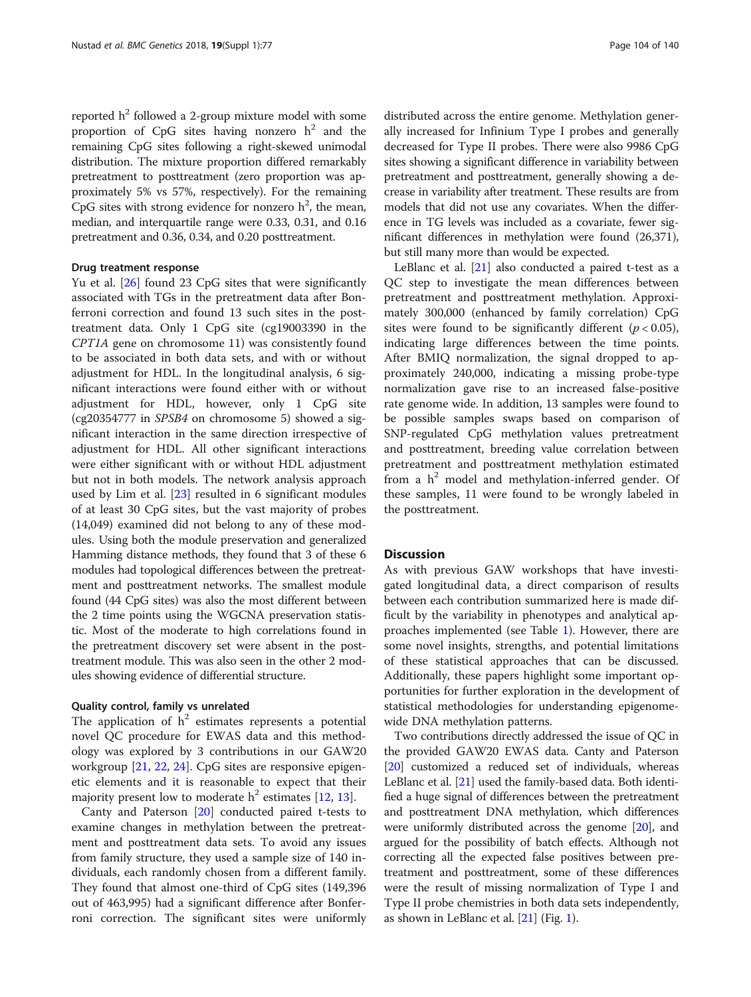reported  $h^2$  followed a 2-group mixture model with some proportion of CpG sites having nonzero  $h^2$  and the remaining CpG sites following a right-skewed unimodal distribution. The mixture proportion differed remarkably pretreatment to posttreatment (zero proportion was approximately 5% vs 57%, respectively). For the remaining CpG sites with strong evidence for nonzero  $h^2$ , the mean, median, and interquartile range were 0.33, 0.31, and 0.16 pretreatment and 0.36, 0.34, and 0.20 posttreatment.

### Drug treatment response

Yu et al. [\[26](#page-9-0)] found 23 CpG sites that were significantly associated with TGs in the pretreatment data after Bonferroni correction and found 13 such sites in the posttreatment data. Only 1 CpG site (cg19003390 in the CPT1A gene on chromosome 11) was consistently found to be associated in both data sets, and with or without adjustment for HDL. In the longitudinal analysis, 6 significant interactions were found either with or without adjustment for HDL, however, only 1 CpG site (cg20354777 in SPSB4 on chromosome 5) showed a significant interaction in the same direction irrespective of adjustment for HDL. All other significant interactions were either significant with or without HDL adjustment but not in both models. The network analysis approach used by Lim et al.  $[23]$  $[23]$  resulted in 6 significant modules of at least 30 CpG sites, but the vast majority of probes (14,049) examined did not belong to any of these modules. Using both the module preservation and generalized Hamming distance methods, they found that 3 of these 6 modules had topological differences between the pretreatment and posttreatment networks. The smallest module found (44 CpG sites) was also the most different between the 2 time points using the WGCNA preservation statistic. Most of the moderate to high correlations found in the pretreatment discovery set were absent in the posttreatment module. This was also seen in the other 2 modules showing evidence of differential structure.

### Quality control, family vs unrelated

The application of  $h^2$  estimates represents a potential novel QC procedure for EWAS data and this methodology was explored by 3 contributions in our GAW20 workgroup [[21](#page-9-0), [22](#page-9-0), [24](#page-9-0)]. CpG sites are responsive epigenetic elements and it is reasonable to expect that their majority present low to moderate  $h^2$  estimates [[12](#page-8-0), [13](#page-8-0)].

Canty and Paterson [[20\]](#page-9-0) conducted paired t-tests to examine changes in methylation between the pretreatment and posttreatment data sets. To avoid any issues from family structure, they used a sample size of 140 individuals, each randomly chosen from a different family. They found that almost one-third of CpG sites (149,396 out of 463,995) had a significant difference after Bonferroni correction. The significant sites were uniformly

distributed across the entire genome. Methylation generally increased for Infinium Type I probes and generally decreased for Type II probes. There were also 9986 CpG sites showing a significant difference in variability between pretreatment and posttreatment, generally showing a decrease in variability after treatment. These results are from models that did not use any covariates. When the difference in TG levels was included as a covariate, fewer significant differences in methylation were found (26,371), but still many more than would be expected.

LeBlanc et al. [[21](#page-9-0)] also conducted a paired t-test as a QC step to investigate the mean differences between pretreatment and posttreatment methylation. Approximately 300,000 (enhanced by family correlation) CpG sites were found to be significantly different ( $p < 0.05$ ), indicating large differences between the time points. After BMIQ normalization, the signal dropped to approximately 240,000, indicating a missing probe-type normalization gave rise to an increased false-positive rate genome wide. In addition, 13 samples were found to be possible samples swaps based on comparison of SNP-regulated CpG methylation values pretreatment and posttreatment, breeding value correlation between pretreatment and posttreatment methylation estimated from a  $h^2$  model and methylation-inferred gender. Of these samples, 11 were found to be wrongly labeled in the posttreatment.

### **Discussion**

As with previous GAW workshops that have investigated longitudinal data, a direct comparison of results between each contribution summarized here is made difficult by the variability in phenotypes and analytical approaches implemented (see Table [1](#page-2-0)). However, there are some novel insights, strengths, and potential limitations of these statistical approaches that can be discussed. Additionally, these papers highlight some important opportunities for further exploration in the development of statistical methodologies for understanding epigenomewide DNA methylation patterns.

Two contributions directly addressed the issue of QC in the provided GAW20 EWAS data. Canty and Paterson [[20](#page-9-0)] customized a reduced set of individuals, whereas LeBlanc et al. [\[21\]](#page-9-0) used the family-based data. Both identified a huge signal of differences between the pretreatment and posttreatment DNA methylation, which differences were uniformly distributed across the genome [[20](#page-9-0)], and argued for the possibility of batch effects. Although not correcting all the expected false positives between pretreatment and posttreatment, some of these differences were the result of missing normalization of Type I and Type II probe chemistries in both data sets independently, as shown in LeBlanc et al. [[21](#page-9-0)] (Fig. [1\)](#page-6-0).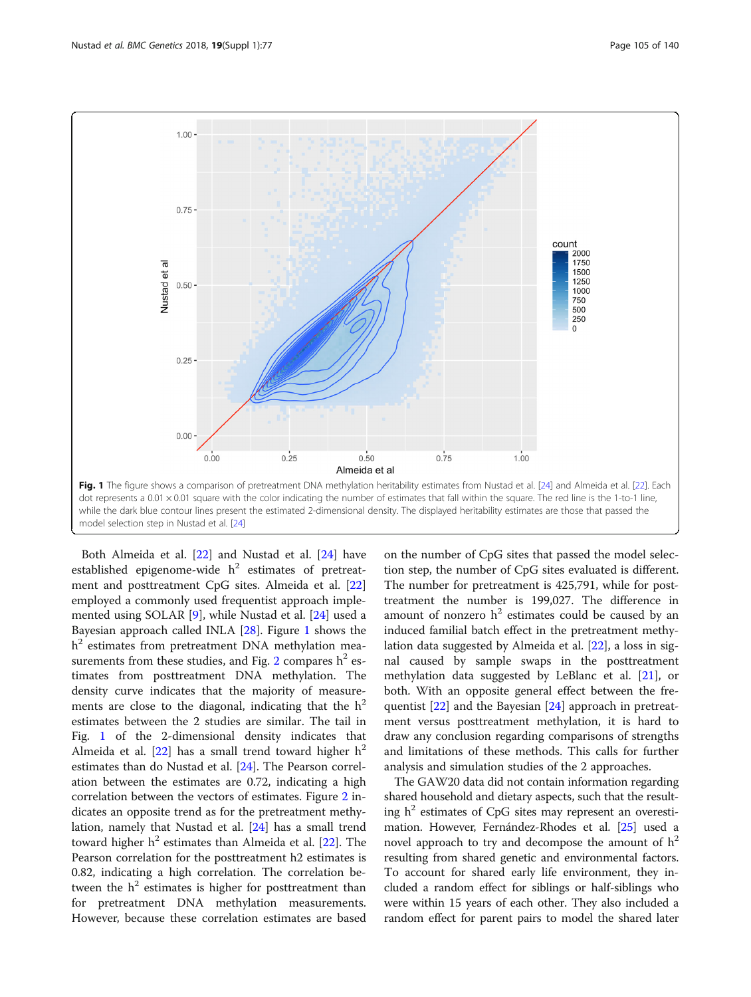<span id="page-6-0"></span>

Both Almeida et al. [[22](#page-9-0)] and Nustad et al. [[24](#page-9-0)] have established epigenome-wide  $h^2$  estimates of pretreatment and posttreatment CpG sites. Almeida et al. [[22](#page-9-0)] employed a commonly used frequentist approach implemented using SOLAR [[9\]](#page-8-0), while Nustad et al. [[24](#page-9-0)] used a Bayesian approach called INLA [\[28](#page-9-0)]. Figure 1 shows the  $h<sup>2</sup>$  estimates from pretreatment DNA methylation mea-surements from these studies, and Fig. [2](#page-7-0) compares  $h^2$  estimates from posttreatment DNA methylation. The density curve indicates that the majority of measurements are close to the diagonal, indicating that the  $h^2$ estimates between the 2 studies are similar. The tail in Fig. 1 of the 2-dimensional density indicates that Almeida et al. [\[22](#page-9-0)] has a small trend toward higher  $h^2$ estimates than do Nustad et al. [\[24](#page-9-0)]. The Pearson correlation between the estimates are 0.72, indicating a high correlation between the vectors of estimates. Figure [2](#page-7-0) indicates an opposite trend as for the pretreatment methylation, namely that Nustad et al. [\[24](#page-9-0)] has a small trend toward higher  $h^2$  estimates than Almeida et al. [\[22\]](#page-9-0). The Pearson correlation for the posttreatment h2 estimates is 0.82, indicating a high correlation. The correlation between the  $h^2$  estimates is higher for posttreatment than for pretreatment DNA methylation measurements. However, because these correlation estimates are based

on the number of CpG sites that passed the model selection step, the number of CpG sites evaluated is different. The number for pretreatment is 425,791, while for posttreatment the number is 199,027. The difference in amount of nonzero  $h^2$  estimates could be caused by an induced familial batch effect in the pretreatment methylation data suggested by Almeida et al. [\[22](#page-9-0)], a loss in signal caused by sample swaps in the posttreatment methylation data suggested by LeBlanc et al. [\[21](#page-9-0)], or both. With an opposite general effect between the frequentist [[22\]](#page-9-0) and the Bayesian [\[24](#page-9-0)] approach in pretreatment versus posttreatment methylation, it is hard to draw any conclusion regarding comparisons of strengths and limitations of these methods. This calls for further analysis and simulation studies of the 2 approaches.

The GAW20 data did not contain information regarding shared household and dietary aspects, such that the resulting  $h^2$  estimates of CpG sites may represent an overestimation. However, Fernández-Rhodes et al. [\[25](#page-9-0)] used a novel approach to try and decompose the amount of  $h^2$ resulting from shared genetic and environmental factors. To account for shared early life environment, they included a random effect for siblings or half-siblings who were within 15 years of each other. They also included a random effect for parent pairs to model the shared later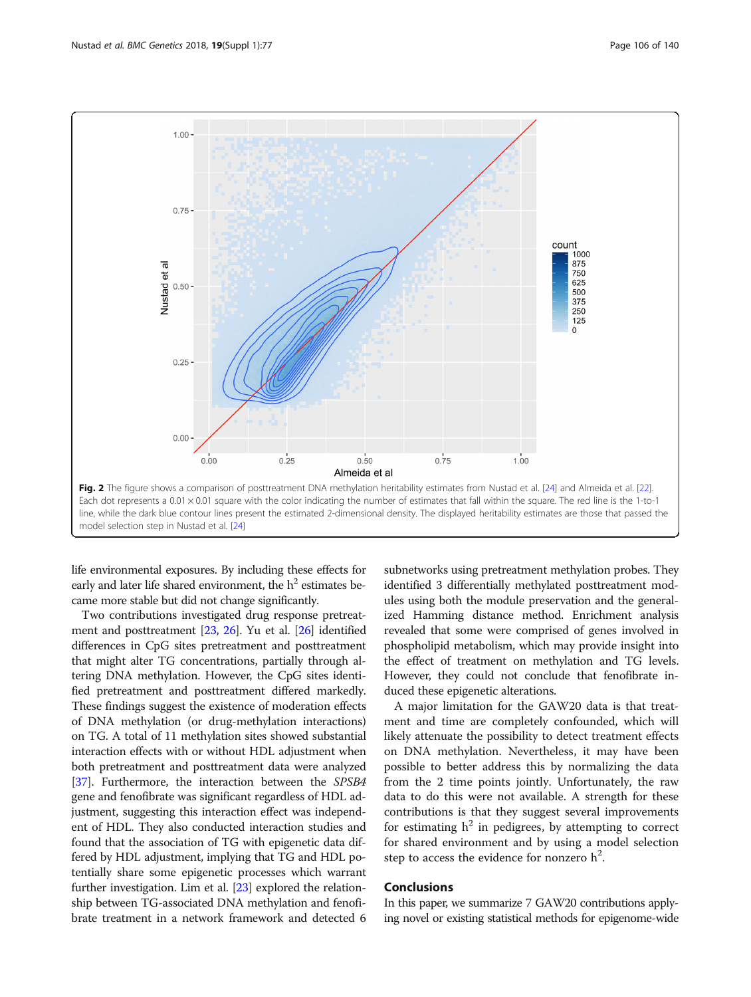<span id="page-7-0"></span>

life environmental exposures. By including these effects for early and later life shared environment, the  $h<sup>2</sup>$  estimates became more stable but did not change significantly.

Two contributions investigated drug response pretreatment and posttreatment [\[23,](#page-9-0) [26\]](#page-9-0). Yu et al. [[26](#page-9-0)] identified differences in CpG sites pretreatment and posttreatment that might alter TG concentrations, partially through altering DNA methylation. However, the CpG sites identified pretreatment and posttreatment differed markedly. These findings suggest the existence of moderation effects of DNA methylation (or drug-methylation interactions) on TG. A total of 11 methylation sites showed substantial interaction effects with or without HDL adjustment when both pretreatment and posttreatment data were analyzed [[37](#page-9-0)]. Furthermore, the interaction between the SPSB4 gene and fenofibrate was significant regardless of HDL adjustment, suggesting this interaction effect was independent of HDL. They also conducted interaction studies and found that the association of TG with epigenetic data differed by HDL adjustment, implying that TG and HDL potentially share some epigenetic processes which warrant further investigation. Lim et al. [\[23](#page-9-0)] explored the relationship between TG-associated DNA methylation and fenofibrate treatment in a network framework and detected 6

subnetworks using pretreatment methylation probes. They identified 3 differentially methylated posttreatment modules using both the module preservation and the generalized Hamming distance method. Enrichment analysis revealed that some were comprised of genes involved in phospholipid metabolism, which may provide insight into the effect of treatment on methylation and TG levels. However, they could not conclude that fenofibrate induced these epigenetic alterations.

A major limitation for the GAW20 data is that treatment and time are completely confounded, which will likely attenuate the possibility to detect treatment effects on DNA methylation. Nevertheless, it may have been possible to better address this by normalizing the data from the 2 time points jointly. Unfortunately, the raw data to do this were not available. A strength for these contributions is that they suggest several improvements for estimating  $h^2$  in pedigrees, by attempting to correct for shared environment and by using a model selection step to access the evidence for nonzero  $h^2$ .

### Conclusions

In this paper, we summarize 7 GAW20 contributions applying novel or existing statistical methods for epigenome-wide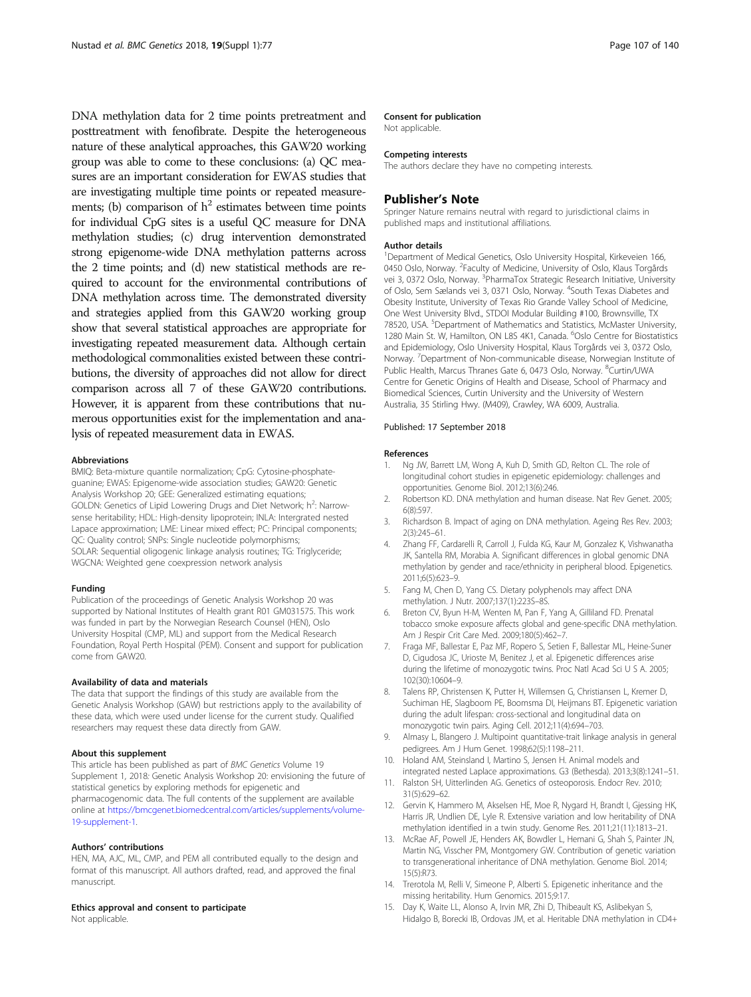<span id="page-8-0"></span>DNA methylation data for 2 time points pretreatment and posttreatment with fenofibrate. Despite the heterogeneous nature of these analytical approaches, this GAW20 working group was able to come to these conclusions: (a) QC measures are an important consideration for EWAS studies that are investigating multiple time points or repeated measurements; (b) comparison of  $h^2$  estimates between time points for individual CpG sites is a useful QC measure for DNA methylation studies; (c) drug intervention demonstrated strong epigenome-wide DNA methylation patterns across the 2 time points; and (d) new statistical methods are required to account for the environmental contributions of DNA methylation across time. The demonstrated diversity and strategies applied from this GAW20 working group show that several statistical approaches are appropriate for investigating repeated measurement data. Although certain methodological commonalities existed between these contributions, the diversity of approaches did not allow for direct comparison across all 7 of these GAW20 contributions. However, it is apparent from these contributions that numerous opportunities exist for the implementation and analysis of repeated measurement data in EWAS.

#### Abbreviations

BMIQ: Beta-mixture quantile normalization; CpG: Cytosine-phosphateguanine; EWAS: Epigenome-wide association studies; GAW20: Genetic Analysis Workshop 20; GEE: Generalized estimating equations; GOLDN: Genetics of Lipid Lowering Drugs and Diet Network; h<sup>2</sup>: Narrowsense heritability; HDL: High-density lipoprotein; INLA: Intergrated nested Lapace approximation; LME: Linear mixed effect; PC: Principal components; QC: Quality control; SNPs: Single nucleotide polymorphisms; SOLAR: Sequential oligogenic linkage analysis routines; TG: Triglyceride; WGCNA: Weighted gene coexpression network analysis

### Funding

Publication of the proceedings of Genetic Analysis Workshop 20 was supported by National Institutes of Health grant R01 GM031575. This work was funded in part by the Norwegian Research Counsel (HEN), Oslo University Hospital (CMP, ML) and support from the Medical Research Foundation, Royal Perth Hospital (PEM). Consent and support for publication come from GAW20.

#### Availability of data and materials

The data that support the findings of this study are available from the Genetic Analysis Workshop (GAW) but restrictions apply to the availability of these data, which were used under license for the current study. Qualified researchers may request these data directly from GAW.

### About this supplement

This article has been published as part of BMC Genetics Volume 19 Supplement 1, 2018: Genetic Analysis Workshop 20: envisioning the future of statistical genetics by exploring methods for epigenetic and pharmacogenomic data. The full contents of the supplement are available online at [https://bmcgenet.biomedcentral.com/articles/supplements/volume-](https://bmcgenet.biomedcentral.com/articles/supplements/volume-19-supplement-1)[19-supplement-1.](https://bmcgenet.biomedcentral.com/articles/supplements/volume-19-supplement-1)

### Authors' contributions

HEN, MA, AJC, ML, CMP, and PEM all contributed equally to the design and format of this manuscript. All authors drafted, read, and approved the final manuscript.

### Ethics approval and consent to participate

Not applicable.

### Consent for publication

Not applicable.

#### Competing interests

The authors declare they have no competing interests.

### Publisher's Note

Springer Nature remains neutral with regard to jurisdictional claims in published maps and institutional affiliations.

### Author details

<sup>1</sup>Department of Medical Genetics, Oslo University Hospital, Kirkeveien 166, 0450 Oslo, Norway. <sup>2</sup> Faculty of Medicine, University of Oslo, Klaus Torgårds vei 3, 0372 Oslo, Norway. <sup>3</sup>PharmaTox Strategic Research Initiative, University of Oslo, Sem Sælands vei 3, 0371 Oslo, Norway. <sup>4</sup>South Texas Diabetes and Obesity Institute, University of Texas Rio Grande Valley School of Medicine, One West University Blvd., STDOI Modular Building #100, Brownsville, TX 78520, USA. <sup>5</sup>Department of Mathematics and Statistics, McMaster University 1280 Main St. W, Hamilton, ON L8S 4K1, Canada. <sup>6</sup>Oslo Centre for Biostatistics and Epidemiology, Oslo University Hospital, Klaus Torgårds vei 3, 0372 Oslo, Norway. <sup>7</sup> Department of Non-communicable disease, Norwegian Institute of Public Health, Marcus Thranes Gate 6, 0473 Oslo, Norway. <sup>8</sup>Curtin/UWA Centre for Genetic Origins of Health and Disease, School of Pharmacy and Biomedical Sciences, Curtin University and the University of Western Australia, 35 Stirling Hwy. (M409), Crawley, WA 6009, Australia.

#### Published: 17 September 2018

#### References

- Ng JW, Barrett LM, Wong A, Kuh D, Smith GD, Relton CL. The role of longitudinal cohort studies in epigenetic epidemiology: challenges and opportunities. Genome Biol. 2012;13(6):246.
- 2. Robertson KD. DNA methylation and human disease. Nat Rev Genet. 2005; 6(8):597.
- 3. Richardson B. Impact of aging on DNA methylation. Ageing Res Rev. 2003; 2(3):245–61.
- 4. Zhang FF, Cardarelli R, Carroll J, Fulda KG, Kaur M, Gonzalez K, Vishwanatha JK, Santella RM, Morabia A. Significant differences in global genomic DNA methylation by gender and race/ethnicity in peripheral blood. Epigenetics. 2011;6(5):623–9.
- 5. Fang M, Chen D, Yang CS. Dietary polyphenols may affect DNA methylation. J Nutr. 2007;137(1):223S–8S.
- 6. Breton CV, Byun H-M, Wenten M, Pan F, Yang A, Gilliland FD. Prenatal tobacco smoke exposure affects global and gene-specific DNA methylation. Am J Respir Crit Care Med. 2009;180(5):462–7.
- 7. Fraga MF, Ballestar E, Paz MF, Ropero S, Setien F, Ballestar ML, Heine-Suner D, Cigudosa JC, Urioste M, Benitez J, et al. Epigenetic differences arise during the lifetime of monozygotic twins. Proc Natl Acad Sci U S A. 2005; 102(30):10604–9.
- 8. Talens RP, Christensen K, Putter H, Willemsen G, Christiansen L, Kremer D, Suchiman HE, Slagboom PE, Boomsma DI, Heijmans BT. Epigenetic variation during the adult lifespan: cross-sectional and longitudinal data on monozygotic twin pairs. Aging Cell. 2012;11(4):694–703.
- 9. Almasy L, Blangero J. Multipoint quantitative-trait linkage analysis in general pedigrees. Am J Hum Genet. 1998;62(5):1198–211.
- 10. Holand AM, Steinsland I, Martino S, Jensen H. Animal models and integrated nested Laplace approximations. G3 (Bethesda). 2013;3(8):1241–51.
- 11. Ralston SH, Uitterlinden AG. Genetics of osteoporosis. Endocr Rev. 2010; 31(5):629–62.
- 12. Gervin K, Hammero M, Akselsen HE, Moe R, Nygard H, Brandt I, Gjessing HK, Harris JR, Undlien DE, Lyle R. Extensive variation and low heritability of DNA methylation identified in a twin study. Genome Res. 2011;21(11):1813–21.
- 13. McRae AF, Powell JE, Henders AK, Bowdler L, Hemani G, Shah S, Painter JN, Martin NG, Visscher PM, Montgomery GW. Contribution of genetic variation to transgenerational inheritance of DNA methylation. Genome Biol. 2014; 15(5):R73.
- 14. Trerotola M, Relli V, Simeone P, Alberti S. Epigenetic inheritance and the missing heritability. Hum Genomics. 2015;9:17.
- 15. Day K, Waite LL, Alonso A, Irvin MR, Zhi D, Thibeault KS, Aslibekyan S, Hidalgo B, Borecki IB, Ordovas JM, et al. Heritable DNA methylation in CD4+